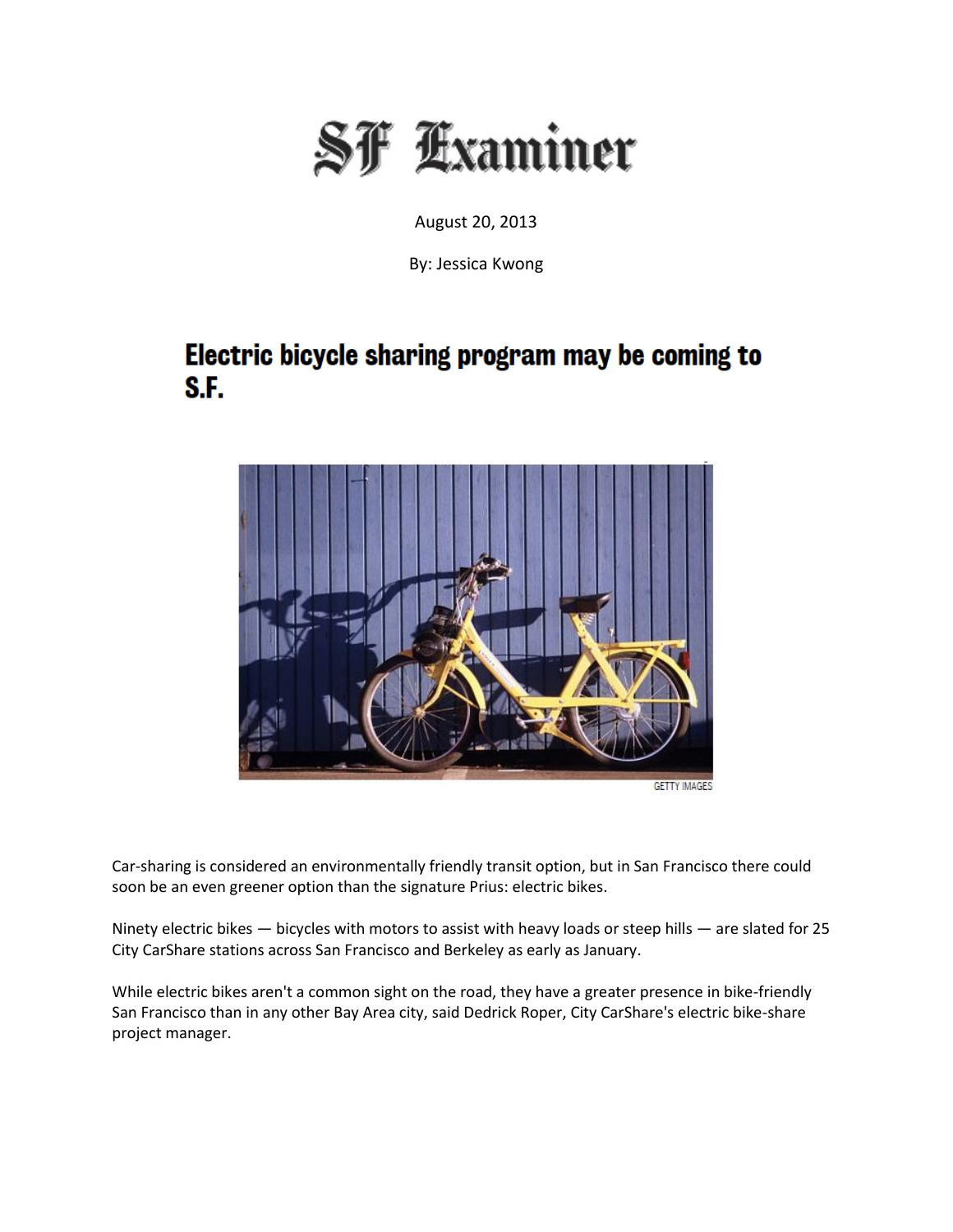

August 20, 2013

By: Jessica Kwong

## Electric bicycle sharing program may be coming to S.F.



Car-sharing is considered an environmentally friendly transit option, but in San Francisco there could soon be an even greener option than the signature Prius: electric bikes.

Ninety electric bikes — bicycles with motors to assist with heavy loads or steep hills — are slated for 25 City CarShare stations across San Francisco and Berkeley as early as January.

While electric bikes aren't a common sight on the road, they have a greater presence in bike-friendly San Francisco than in any other Bay Area city, said Dedrick Roper, City CarShare's electric bike-share project manager.